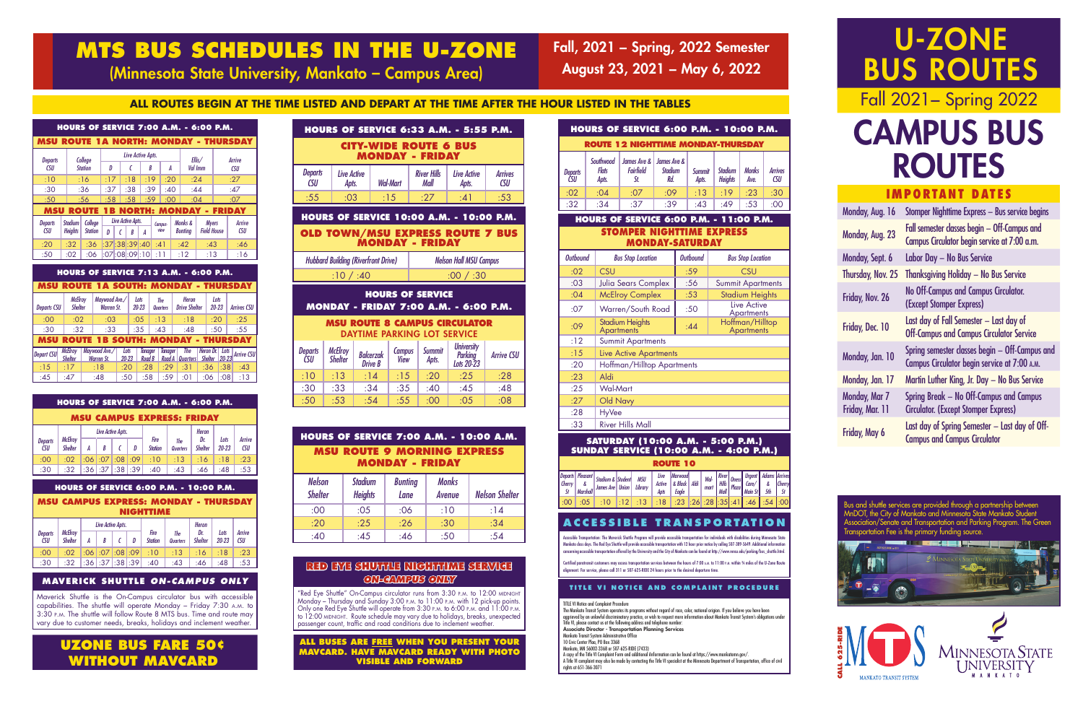IMPORTANT DATES

| Monday, Aug. 16                         | Stomper Nighttime Express - Bus service begins                                                 |
|-----------------------------------------|------------------------------------------------------------------------------------------------|
| Monday, Aug. 23                         | Fall semester classes begin - Off-Campus and<br>Campus Circulator begin service at 7:00 a.m.   |
| Monday, Sept. 6                         | Labor Day - No Bus Service                                                                     |
| <b>Thursday, Nov. 25</b>                | <b>Thanksgiving Holiday - No Bus Service</b>                                                   |
| Friday, Nov. 26                         | <b>No Off-Campus and Campus Circulator.</b><br>(Except Stomper Express)                        |
| Friday, Dec. 10                         | Last day of Fall Semester - Last day of<br><b>Off-Campus and Campus Circulator Service</b>     |
| Monday, Jan. 10                         | Spring semester classes begin - Off-Campus and<br>Campus Circulator begin service at 7:00 A.M. |
| Monday, Jan. 17                         | Martin Luther King, Jr. Day - No Bus Service                                                   |
| <b>Monday, Mar 7</b><br>Friday, Mar. 11 | Spring Break – No Off-Campus and Campus<br><b>Circulator. (Except Stomper Express)</b>         |
| Friday, May 6                           | Last day of Spring Semester – Last day of Off-<br><b>Campus and Campus Circulator</b>          |

#### **HOURS OF SERVICE MONDAY - FRIDAY 7:00 A.M. - 6:00 P.M. MSU ROUTE 8 CAMPUS CIRCULATOR** DAYTIME PARKING LOT SERVICE *Departs CSU McElroy Shelter Balcerzak Drive B Campus View Summit Apts. University Parking Lots 20-23 Arrive CSU* :10 | :13 | :14 | :15 | :20 | :25 | :28 :30 | :33 | :34 | :35 | :40 | :45 | :48 08: | 05: | 50: | 54: | 55: | 50: | 50:

| <b>HOURS OF SERVICE 6:33 A.M. - 5:55 P.M.</b>          |                      |                 |                            |                      |                              |  |  |  |
|--------------------------------------------------------|----------------------|-----------------|----------------------------|----------------------|------------------------------|--|--|--|
| <b>CITY-WIDE ROUTE 6 BUS</b><br><b>MONDAY - FRIDAY</b> |                      |                 |                            |                      |                              |  |  |  |
| <b>Departs</b><br>C <sub>S</sub> U                     | Live Active<br>Apts. | <b>Wal-Mart</b> | <b>River Hills</b><br>Mall | Live Active<br>Apts. | <b>Arrives</b><br><b>CSU</b> |  |  |  |
| :55                                                    | :03                  | :15             | .27                        | :41                  | :53                          |  |  |  |

Certified paratransit customers may access transportation services between the hours of 7:00 a.m. to 11:00 p.m. within ¾ miles of the U-Zone Rout alignment. For service, please call 311 or 507-625-RIDE 24 hours prior to the desired departure time.

| <b>HOURS OF SERVICE 7:00 A.M. - 10:00 A.M.</b> |  |
|------------------------------------------------|--|
| <b>MSU ROUTE 9 MORNING EXPRESS</b>             |  |
| <b>MONDAY - FRIDAY</b>                         |  |

| <b>Nelson</b><br><b>Shelter</b> | <b>Stadium</b><br><b>Heights</b> | <b>Bunting</b><br>Lane | <b>Monks</b><br>Avenue | <b>Nelson Shelter</b> |
|---------------------------------|----------------------------------|------------------------|------------------------|-----------------------|
| :00                             | :05                              | :06                    | :10                    | :14                   |
| :20                             | :25                              | :26                    | :30                    | :34                   |
| :40                             | :45                              | :46                    | :50                    | :54                   |

### **ACCESSIBLE TRANSPORTATION**

Accessible Transportation: The Maverick Shuttle Program will provide accessible transportation for individuals with disabilities during Minnesota State Mankato class days. The Red Eye Shuttle will provide accessible transportation with 12 hour prior notice by calling 507-389-5649. Additional information concerning accessible transportation offered by the University and the City of Mankato can be found at http://www.mnsu.edu/parking/bus\_shuttle.html.

"Red Eye Shuttle" On-Campus circulator runs from 3:30 p.m. to 12:00 MIDNIGHT Monday – Thursday and Sunday 3:00 p.m. to 11:00 p.m. with 12 pick-up points. Only one Red Eye Shuttle will operate from 3:30 p.m. to 6:00 p.m. and 11:00 p.m. to 12:00 MIDNIGHT. Route schedule may vary due to holidays, breaks, unexpected passenger count, traffic and road conditions due to inclement weather.

#### **TITLE VI NOTICE AND COMPLAINT PROCEDURE**

TITLE VI Notice and Complaint Procedure

The Mankato Transit System operates its programs without regard of race, color, national origion. If you believe you have been aggrieved by an unlawful discriminatory practice, or wish to request more information about Mankato Transit System's obligations under Title VI, please contact us at the following address and telephone number:

Associate Director - Transportation Planning Services Mankato Transit System Administrative Office

| <b>Departs CSU</b> | <b>McElroy</b><br><b>Shelter</b> | Maywood Ave./<br><b>Warren St.</b>       |                   | Lots<br>$20 - 23$ |                   | The<br><b>Quarters</b> | Heron<br><b>Drive Shelter</b> | Lots<br>$20 - 23$           |      | <b>Arrives CSU</b> |
|--------------------|----------------------------------|------------------------------------------|-------------------|-------------------|-------------------|------------------------|-------------------------------|-----------------------------|------|--------------------|
| :00                | :02                              | :03                                      |                   | :05               |                   | :13                    | :18                           | :20                         |      | :25                |
| :30                | :32                              | :33                                      |                   | :35               |                   | :43                    | :48                           | :50                         |      | :55                |
| <b>MSU</b>         |                                  | <b>ROUTE 1B SOUTH: MONDAY - THURSDAY</b> |                   |                   |                   |                        |                               |                             |      |                    |
| <b>Depart CSU</b>  | <b>McElroy</b><br><b>Shelter</b> | Maywood Ave./<br><b>Warren St.</b>       | Lots<br>$20 - 23$ |                   | Tanager<br>Road B | <b>Tanager</b>         | The<br>Quarters               | Heron Dr.<br><b>Shelter</b> | Lots | 20-23 Arrive CSL   |
| :15                | :17                              | :18                                      | :20               | :28               |                   | :29                    | :31                           | :36                         | :38  | :43                |
| :45                | :47                              | :48                                      | :50               | :58               |                   | :59                    | :01                           | :06                         | :08  | :13                |

10 Civic Center Plaa, PO Box 3368 Mankato, MN 56002-3368 or 507-625-RIDE (7433)

A copy of the Title VI Complaint Form and additional iInformation can be found at https://www.mankatomn.gov/.

A Title VI complaint may also be made by contacting the Title VI specialist at the Minnesota Department of Transportation, office of civil rights at 651-366-3071

#### **MAVERICK SHUTTLE** *ON-CAMPUS ONLY*

Maverick Shuttle is the On-Campus circulator bus with accessible capabilities. The shuttle will operate Monday – Friday 7:30 a.m. to 3:30 p.m. The shuttle will follow Route 8 MTS bus. Time and route may vary due to customer needs, breaks, holidays and inclement weather.

Bus and shuttle services are provided through a partnership between MnDOT, the City of Mankato and Minnesota State Mankato Student Association/Senate and Transportation and Parking Program. The Green Transportation Fee is the primary funding source.

#### **RED EYE SHUTTLE NIGHTTIME SERVICE**  *ON-CAMPUS ONLY*

### **UZONE BUS FARE 50¢ WITHOUT MAVCARD**

#### **HOURS OF SERVICE 6:00 P.M. - 10:00 P.M.**

**MSU CAMPUS EXPRESS: MONDAY - THURSDAY NIGHTTIME**

|                              |                                  | Live Active Apts.       |   |                        |                               | <b>Heron</b>          |                   |                      |
|------------------------------|----------------------------------|-------------------------|---|------------------------|-------------------------------|-----------------------|-------------------|----------------------|
| <b>Departs</b><br><b>CSU</b> | <b>McElroy</b><br><b>Shelter</b> | B                       | D | Fire<br><b>Station</b> | <b>The</b><br><b>Quarters</b> | Dr.<br><b>Shelter</b> | Lots<br>$20 - 23$ | Arrive<br><b>CSU</b> |
| :00                          | :02                              | $.06$ : 07 : 08 : 09    |   | :10                    | :13                           | :16                   | :18               | :23                  |
| :30                          | :32                              | $:36$ $:37$ $:38$ $:39$ |   | :40                    | :43                           | :46                   | :48               | :53                  |

#### **HOURS OF SERVICE 7:00 A.M. - 6:00 P.M.**

## U-ZONE BUS ROUTES Fall 2021− Spring 2022

|                              | <b>MSU CAMPUS EXPRESS: FRIDAY</b> |   |              |                    |   |                        |                        |                       |                   |                      |  |
|------------------------------|-----------------------------------|---|--------------|--------------------|---|------------------------|------------------------|-----------------------|-------------------|----------------------|--|
|                              |                                   |   |              | Live Active Apts.  |   |                        |                        | <b>Heron</b>          |                   |                      |  |
| <b>Departs</b><br><b>CSU</b> | <b>McElroy</b><br><b>Shelter</b>  | A | R            |                    | D | Fire<br><b>Station</b> | The<br><b>Quarters</b> | Dr.<br><b>Shelter</b> | Lots<br>$20 - 23$ | Arrive<br><b>CSU</b> |  |
| :00                          | :02                               |   |              | $0.06$ :07 :08 :09 |   | :10                    | :13                    | :16                   | :18               | : 23                 |  |
| :30                          | :32                               |   | $:36$ : $37$ | .38 .39            |   | :40                    | :43                    | :46                   | :48               | :53                  |  |

Fall, 2021 − Spring, 2022 Semester August 23, 2021 − May 6, 2022

## **MTS BUS SCHEDULES IN THE U-ZONE**

(Minnesota State University, Mankato – Campus Area)

#### **ALL ROUTES BEGIN AT THE TIME LISTED AND DEPART AT THE TIME AFTER THE HOUR LISTED IN THE TABLES**

# CAMPUS BUS ROUTES

| <b>HOURS OF SERVICE 6:00 P.M. - 10:00 P.M.</b> |                                    |                                           |                                      |                        |                                  |                      |                              |  |
|------------------------------------------------|------------------------------------|-------------------------------------------|--------------------------------------|------------------------|----------------------------------|----------------------|------------------------------|--|
| <b>ROUTE 12 NIGHTTIME MONDAY-THURSDAY</b>      |                                    |                                           |                                      |                        |                                  |                      |                              |  |
| <b>Departs</b><br>ĊSIJ                         | Southwood<br><b>Flats</b><br>Apts. | James Ave $\&$<br><b>Fairfield</b><br>St. | James Ave &<br><b>Stadium</b><br>Rd. | <b>Summit</b><br>Apts. | <b>Stadium</b><br><b>Heights</b> | <b>Monks</b><br>Ave. | <b>Arrives</b><br><b>CSU</b> |  |
| :02                                            | :04                                | :07                                       | :09                                  | :13                    | :19                              | :23                  | :30                          |  |
| :32                                            | :34                                | :37                                       | :39                                  | :43                    | :49                              | :53                  | :00                          |  |

#### **SATURDAY (10:00 A.M. - 5:00 P.M.) SUNDAY SERVICE (10:00 A.M. - 4:00 P.M.)**

| <b>MSU ROUTE 1A NORTH: MONDAY - THURSDAY</b> |                                               |                           |                         |   |                        | Live Active Apts. |         |      |                           |                                    |                      |
|----------------------------------------------|-----------------------------------------------|---------------------------|-------------------------|---|------------------------|-------------------|---------|------|---------------------------|------------------------------------|----------------------|
| <b>Departs</b><br><b>CSU</b>                 |                                               | College<br><b>Station</b> | D                       |   | C                      | R                 |         | Α    |                           | Ellis/<br>Val Imm                  | Arrive<br><b>CSU</b> |
| :10                                          |                                               | :16                       | :17                     |   | :18                    | :19               |         | :20  | :24                       |                                    | :27                  |
| :30                                          |                                               | :36                       | :37                     |   | :38                    | :39               |         | :40  | :44                       |                                    | :47                  |
| :50                                          |                                               | :56                       | :58                     |   | :58                    | :59               |         | :00  | :04                       |                                    | :07                  |
| <b>MSU</b>                                   |                                               | ROUT                      |                         |   |                        | NORTH:            |         |      | <b>MONDAY</b>             |                                    | <b>FRIDAY</b>        |
| <b>Departs</b><br><b>CSU</b>                 | <b>Stadium</b><br><b>Heights</b>              | College<br><b>Station</b> | D                       | ſ | Live Active Apts.<br>R | A                 | Campus- | view | Monks &<br><b>Bunting</b> | <b>Myers</b><br><b>Field House</b> | Arrive<br>CSU        |
| :20                                          |                                               |                           |                         |   |                        |                   |         |      |                           |                                    |                      |
|                                              | :32                                           | :36                       |                         |   | :37:38:39:40           |                   | :41     |      | :42                       | :43                                | :46                  |
| :50                                          | :02                                           | :06                       | $:07$ :08 $:09$ :10 $ $ |   |                        |                   | :11     |      | :12                       | :13                                | :16                  |
| <b>MSU ROUTE</b>                             | <b>HOURS OF SERVICE 7:13 A.M. - 6:00 P.M.</b> |                           | <b>1A SOUTH: MONDAY</b> |   |                        |                   |         |      |                           |                                    | - THURSDAY           |

|                        | <b>ROUTE 10</b> |                                                                                                                                                                         |  |         |                        |                                |      |  |  |                                                                                                       |  |
|------------------------|-----------------|-------------------------------------------------------------------------------------------------------------------------------------------------------------------------|--|---------|------------------------|--------------------------------|------|--|--|-------------------------------------------------------------------------------------------------------|--|
| $\vert$ Cherry $\vert$ |                 | Departs Pleasant   Stadium & Student   MSU<br>$\left  \right $ Marshall $\left $ James Ave $\right $ Union $\left  \right $ Lio.                                        |  | Library | Live<br>Active<br>Apts | Marwood<br>$\&$ Black<br>Eaale | Aldi |  |  | Wal- River Oness Urgent Adams Arrives<br>mart Hills Plaza Care/ & Cherry<br>Mall Plaza Main St 5th St |  |
|                        |                 | $\vert$ :00 $\vert$ :05 $\vert$ :10 $\vert$ :12 $\vert$ :13 $\vert$ :18 $\vert$ :23 $\vert$ :28 $\vert$ :28 $\vert$ :35 $\vert$ :41 $\vert$ :46 $\vert$ :54 $\vert$ :00 |  |         |                        |                                |      |  |  |                                                                                                       |  |

#### **HOURS OF SERVICE 6:00 P.M. - 11:00 P.M. STOMPER NIGHTTIME EXPRESS MONDAY-SATURDAY**

| <b>Outbound</b> | <b>Bus Stop Location</b>                    | <b>Outbound</b> | <b>Bus Stop Location</b>             |  |  |  |  |
|-----------------|---------------------------------------------|-----------------|--------------------------------------|--|--|--|--|
| :02             | <b>CSU</b>                                  | :59             | CSU                                  |  |  |  |  |
| :03             | <b>Julia Sears Complex</b>                  | :56             | <b>Summit Apartments</b>             |  |  |  |  |
| :04             | <b>McElroy Complex</b>                      | :53             | <b>Stadium Heights</b>               |  |  |  |  |
| :07             | Warren/South Road                           | :50             | Live Active<br><b>Apartments</b>     |  |  |  |  |
| :09             | <b>Stadium Heights</b><br><b>Apartments</b> | :44             | Hoffman/Hilltop<br><b>Apartments</b> |  |  |  |  |
| :12             | <b>Summit Apartments</b>                    |                 |                                      |  |  |  |  |
| :15             | <b>Live Active Apartments</b>               |                 |                                      |  |  |  |  |
| :20             | Hoffman/Hilltop Apartments                  |                 |                                      |  |  |  |  |
| :23             | Aldi                                        |                 |                                      |  |  |  |  |
| :25             | <b>Wal-Mart</b>                             |                 |                                      |  |  |  |  |
| :27             | Old Navy                                    |                 |                                      |  |  |  |  |
| :28             | <b>HyVee</b>                                |                 |                                      |  |  |  |  |
| :33             | <b>River Hills Mall</b>                     |                 |                                      |  |  |  |  |

#### **HOURS OF SERVICE 10:00 A.M. - 10:00 P.M. OLD TOWN/MSU EXPRESS ROUTE 7 BUS MONDAY - FRIDAY**

| <b>Hubbard Building (Riverfront Drive)</b> | <b>Nelson Hall MSU Campus</b> |
|--------------------------------------------|-------------------------------|
| :10/1:40                                   | :00 / 30                      |





**ALL BUSES ARE FREE WHEN YOU PRESENT YOUR MAVCARD. HAVE MAVCARD READY WITH PHOTO VISIBLE AND FORWARD**